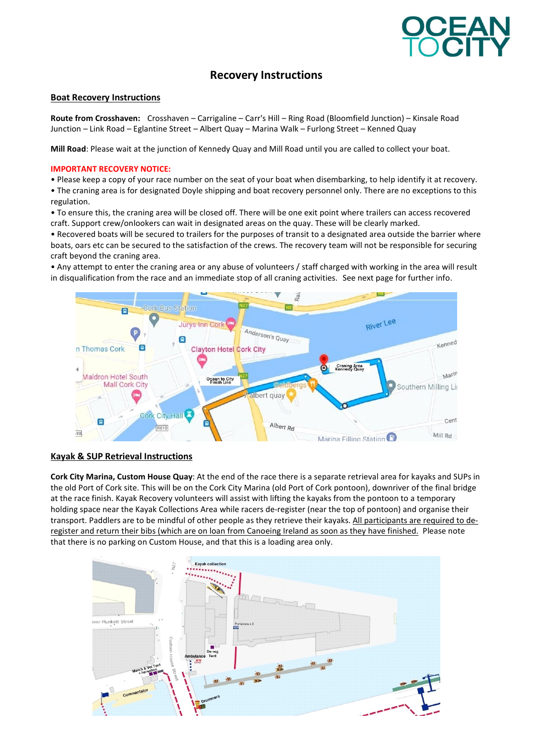

# Recovery Instructions

#### Boat Recovery Instructions

Route from Crosshaven: Crosshaven – Carrigaline – Carr's Hill – Ring Road (Bloomfield Junction) – Kinsale Road Junction – Link Road – Eglantine Street – Albert Quay – Marina Walk – Furlong Street – Kenned Quay

Mill Road: Please wait at the junction of Kennedy Quay and Mill Road until you are called to collect your boat.

#### IMPORTANT RECOVERY NOTICE:

• Please keep a copy of your race number on the seat of your boat when disembarking, to help identify it at recovery.

• The craning area is for designated Doyle shipping and boat recovery personnel only. There are no exceptions to this regulation.

• To ensure this, the craning area will be closed off. There will be one exit point where trailers can access recovered craft. Support crew/onlookers can wait in designated areas on the quay. These will be clearly marked.

• Recovered boats will be secured to trailers for the purposes of transit to a designated area outside the barrier where boats, oars etc can be secured to the satisfaction of the crews. The recovery team will not be responsible for securing craft beyond the craning area.

• Any attempt to enter the craning area or any abuse of volunteers / staff charged with working in the area will result in disqualification from the race and an immediate stop of all craning activities. See next page for further info.



### Kayak & SUP Retrieval Instructions

Cork City Marina, Custom House Quay: At the end of the race there is a separate retrieval area for kayaks and SUPs in the old Port of Cork site. This will be on the Cork City Marina (old Port of Cork pontoon), downriver of the final bridge at the race finish. Kayak Recovery volunteers will assist with lifting the kayaks from the pontoon to a temporary holding space near the Kayak Collections Area while racers de-register (near the top of pontoon) and organise their transport. Paddlers are to be mindful of other people as they retrieve their kayaks. All participants are required to deregister and return their bibs (which are on loan from Canoeing Ireland as soon as they have finished. Please note that there is no parking on Custom House, and that this is a loading area only.